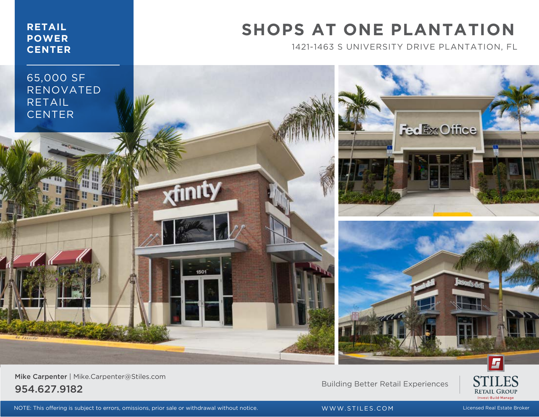### **RETAIL POWER CENTER**

### **SHOPS AT ONE PLANTATION**

1421-1463 S UNIVERSITY DRIVE PLANTATION, FL



Mike Carpenter | Mike.Carpenter@Stiles.com extra properties of the contract of the contract of the contract of the Building Better Retail Experiences and  $\overline{954.627.9182}$ 



NOTE: This offering is subject to errors, omissions, prior sale or withdrawal without notice. WWW.STILES.COM Licensed Real Estate Broker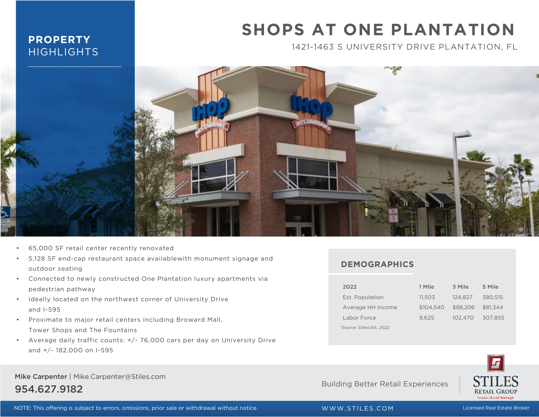### **PROPERTY HIGHLIGHTS**

## **SHOPS AT ONE PLANTATION**

1421-1463 S UNIVERSITY DRIVE PLANTATION, FL



- 65,000 SF retail center recently renovated
- 5,128 SF end-cap restaurant space availablewith monument signage and outdoor seating
- Connected to newly constructed One Plantation luxury apartments via pedestrian pathway
- Ideally located on the northwest corner of University Drive and I-595
- Proximate to major retail centers including Broward Mall, Tower Shops and The Fountains
- Average daily traffic counts: +/- 76,000 cars per day on University Drive and +/- 182,000 on I-595

#### Mike Carpenter | Mike.Carpenter@Stiles.com 954.627.9182 Building Better Retail Experiences

**DEMOGRAPHICS**

| 2022                    | 1 Mile    | 3 Mile   | 5 Mile   |
|-------------------------|-----------|----------|----------|
| Est. Population         | 11,503    | 124.827  | 380.515  |
| Average HH Income       | \$104.540 | \$88,206 | \$81,344 |
| Labor Force             | 9.625     | 102.470  | 307,855  |
| *Source: SitesUSA, 2022 |           |          |          |